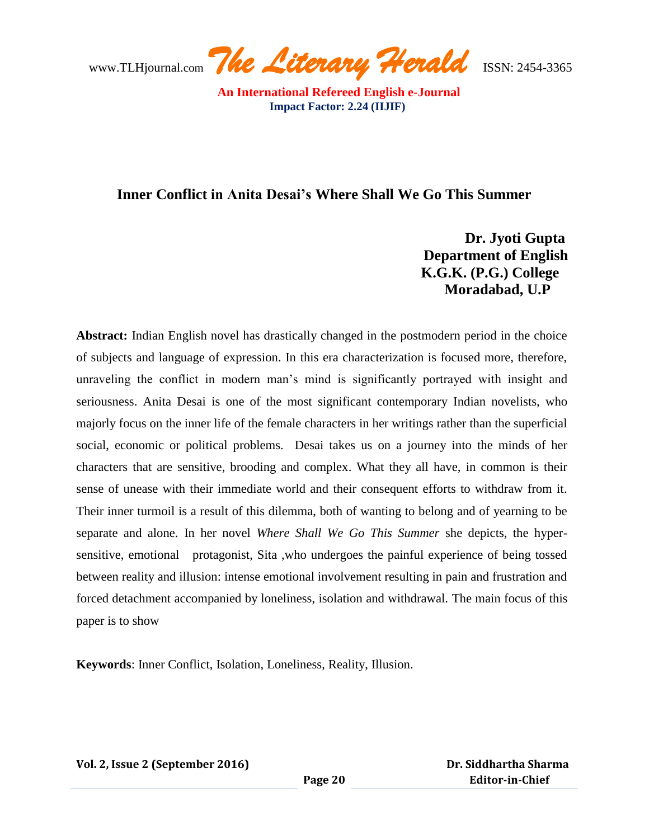www.TLHjournal.com *The Literary Herald*ISSN: 2454-3365

## **Inner Conflict in Anita Desai's Where Shall We Go This Summer**

 **Dr. Jyoti Gupta Department of English K.G.K. (P.G.) College Moradabad, U.P**

**Abstract:** Indian English novel has drastically changed in the postmodern period in the choice of subjects and language of expression. In this era characterization is focused more, therefore, unraveling the conflict in modern man's mind is significantly portrayed with insight and seriousness. Anita Desai is one of the most significant contemporary Indian novelists, who majorly focus on the inner life of the female characters in her writings rather than the superficial social, economic or political problems. Desai takes us on a journey into the minds of her characters that are sensitive, brooding and complex. What they all have, in common is their sense of unease with their immediate world and their consequent efforts to withdraw from it. Their inner turmoil is a result of this dilemma, both of wanting to belong and of yearning to be separate and alone. In her novel *Where Shall We Go This Summer* she depicts, the hypersensitive, emotional protagonist, Sita ,who undergoes the painful experience of being tossed between reality and illusion: intense emotional involvement resulting in pain and frustration and forced detachment accompanied by loneliness, isolation and withdrawal. The main focus of this paper is to show

**Keywords**: Inner Conflict, Isolation, Loneliness, Reality, Illusion.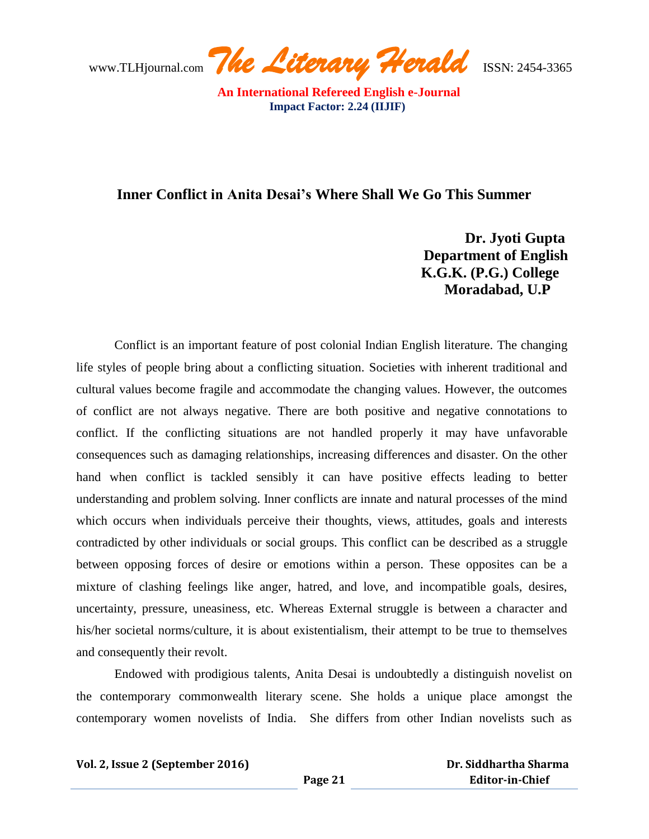www.TLHjournal.com *The Literary Herald*ISSN: 2454-3365

## **Inner Conflict in Anita Desai's Where Shall We Go This Summer**

 **Dr. Jyoti Gupta Department of English K.G.K. (P.G.) College Moradabad, U.P**

Conflict is an important feature of post colonial Indian English literature. The changing life styles of people bring about a conflicting situation. Societies with inherent traditional and cultural values become fragile and accommodate the changing values. However, the outcomes of conflict are not always negative. There are both positive and negative connotations to conflict. If the conflicting situations are not handled properly it may have unfavorable consequences such as damaging relationships, increasing differences and disaster. On the other hand when conflict is tackled sensibly it can have positive effects leading to better understanding and problem solving. Inner conflicts are innate and natural processes of the mind which occurs when individuals perceive their thoughts, views, attitudes, goals and interests contradicted by other individuals or social groups. This conflict can be described as a struggle between opposing forces of desire or emotions within a person. These opposites can be a mixture of clashing feelings like anger, hatred, and love, and incompatible goals, desires, uncertainty, pressure, uneasiness, etc. Whereas External struggle is between a character and his/her societal norms/culture, it is about existentialism, their attempt to be true to themselves and consequently their revolt.

Endowed with prodigious talents, Anita Desai is undoubtedly a distinguish novelist on the contemporary commonwealth literary scene. She holds a unique place amongst the contemporary women novelists of India. She differs from other Indian novelists such as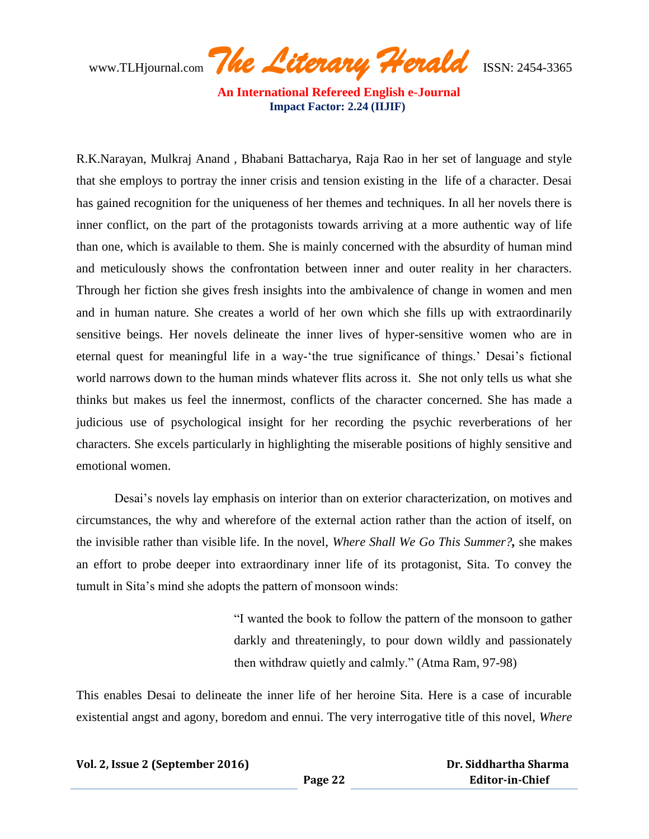www.TLHjournal.com *The Literary Herald*ISSN: 2454-3365

R.K.Narayan, Mulkraj Anand , Bhabani Battacharya, Raja Rao in her set of language and style that she employs to portray the inner crisis and tension existing in the life of a character. Desai has gained recognition for the uniqueness of her themes and techniques. In all her novels there is inner conflict, on the part of the protagonists towards arriving at a more authentic way of life than one, which is available to them. She is mainly concerned with the absurdity of human mind and meticulously shows the confrontation between inner and outer reality in her characters. Through her fiction she gives fresh insights into the ambivalence of change in women and men and in human nature. She creates a world of her own which she fills up with extraordinarily sensitive beings. Her novels delineate the inner lives of hyper-sensitive women who are in eternal quest for meaningful life in a way-'the true significance of things.' Desai's fictional world narrows down to the human minds whatever flits across it. She not only tells us what she thinks but makes us feel the innermost, conflicts of the character concerned. She has made a judicious use of psychological insight for her recording the psychic reverberations of her characters. She excels particularly in highlighting the miserable positions of highly sensitive and emotional women.

Desai's novels lay emphasis on interior than on exterior characterization, on motives and circumstances, the why and wherefore of the external action rather than the action of itself, on the invisible rather than visible life. In the novel, *Where Shall We Go This Summer?,* she makes an effort to probe deeper into extraordinary inner life of its protagonist, Sita. To convey the tumult in Sita's mind she adopts the pattern of monsoon winds:

> ―I wanted the book to follow the pattern of the monsoon to gather darkly and threateningly, to pour down wildly and passionately then withdraw quietly and calmly." (Atma Ram, 97-98)

This enables Desai to delineate the inner life of her heroine Sita. Here is a case of incurable existential angst and agony, boredom and ennui. The very interrogative title of this novel, *Where*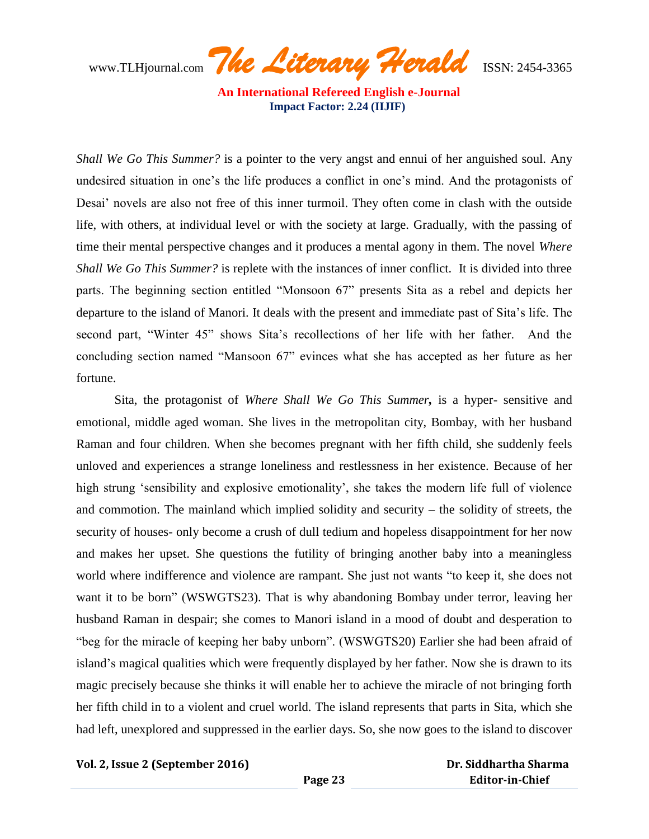www.TLHjournal.com *The Literary Herald*ISSN: 2454-3365

*Shall We Go This Summer?* is a pointer to the very angst and ennui of her anguished soul. Any undesired situation in one's the life produces a conflict in one's mind. And the protagonists of Desai' novels are also not free of this inner turmoil. They often come in clash with the outside life, with others, at individual level or with the society at large. Gradually, with the passing of time their mental perspective changes and it produces a mental agony in them. The novel *Where Shall We Go This Summer?* is replete with the instances of inner conflict. It is divided into three parts. The beginning section entitled "Monsoon 67" presents Sita as a rebel and depicts her departure to the island of Manori. It deals with the present and immediate past of Sita's life. The second part, "Winter 45" shows Sita's recollections of her life with her father. And the concluding section named "Mansoon 67" evinces what she has accepted as her future as her fortune.

Sita, the protagonist of *Where Shall We Go This Summer,* is a hyper- sensitive and emotional, middle aged woman. She lives in the metropolitan city, Bombay, with her husband Raman and four children. When she becomes pregnant with her fifth child, she suddenly feels unloved and experiences a strange loneliness and restlessness in her existence. Because of her high strung 'sensibility and explosive emotionality', she takes the modern life full of violence and commotion. The mainland which implied solidity and security – the solidity of streets, the security of houses- only become a crush of dull tedium and hopeless disappointment for her now and makes her upset. She questions the futility of bringing another baby into a meaningless world where indifference and violence are rampant. She just not wants "to keep it, she does not want it to be born" (WSWGTS23). That is why abandoning Bombay under terror, leaving her husband Raman in despair; she comes to Manori island in a mood of doubt and desperation to "beg for the miracle of keeping her baby unborn". (WSWGTS20) Earlier she had been afraid of island's magical qualities which were frequently displayed by her father. Now she is drawn to its magic precisely because she thinks it will enable her to achieve the miracle of not bringing forth her fifth child in to a violent and cruel world. The island represents that parts in Sita, which she had left, unexplored and suppressed in the earlier days. So, she now goes to the island to discover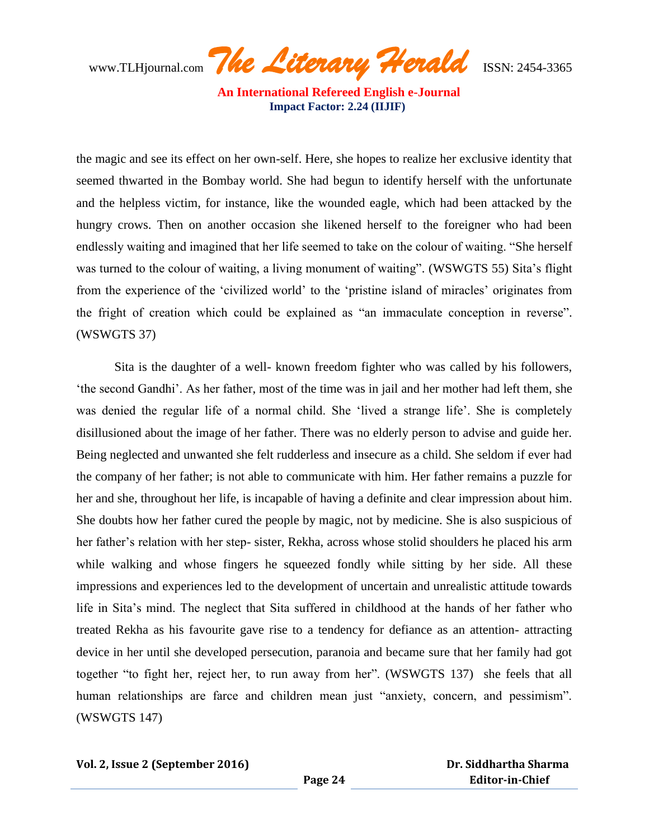www.TLHjournal.com *The Literary Herald*ISSN: 2454-3365

the magic and see its effect on her own-self. Here, she hopes to realize her exclusive identity that seemed thwarted in the Bombay world. She had begun to identify herself with the unfortunate and the helpless victim, for instance, like the wounded eagle, which had been attacked by the hungry crows. Then on another occasion she likened herself to the foreigner who had been endlessly waiting and imagined that her life seemed to take on the colour of waiting. "She herself was turned to the colour of waiting, a living monument of waiting". (WSWGTS 55) Sita's flight from the experience of the 'civilized world' to the 'pristine island of miracles' originates from the fright of creation which could be explained as "an immaculate conception in reverse". (WSWGTS 37)

Sita is the daughter of a well- known freedom fighter who was called by his followers, ‗the second Gandhi'. As her father, most of the time was in jail and her mother had left them, she was denied the regular life of a normal child. She 'lived a strange life'. She is completely disillusioned about the image of her father. There was no elderly person to advise and guide her. Being neglected and unwanted she felt rudderless and insecure as a child. She seldom if ever had the company of her father; is not able to communicate with him. Her father remains a puzzle for her and she, throughout her life, is incapable of having a definite and clear impression about him. She doubts how her father cured the people by magic, not by medicine. She is also suspicious of her father's relation with her step- sister, Rekha, across whose stolid shoulders he placed his arm while walking and whose fingers he squeezed fondly while sitting by her side. All these impressions and experiences led to the development of uncertain and unrealistic attitude towards life in Sita's mind. The neglect that Sita suffered in childhood at the hands of her father who treated Rekha as his favourite gave rise to a tendency for defiance as an attention- attracting device in her until she developed persecution, paranoia and became sure that her family had got together "to fight her, reject her, to run away from her". (WSWGTS 137) she feels that all human relationships are farce and children mean just "anxiety, concern, and pessimism". (WSWGTS 147)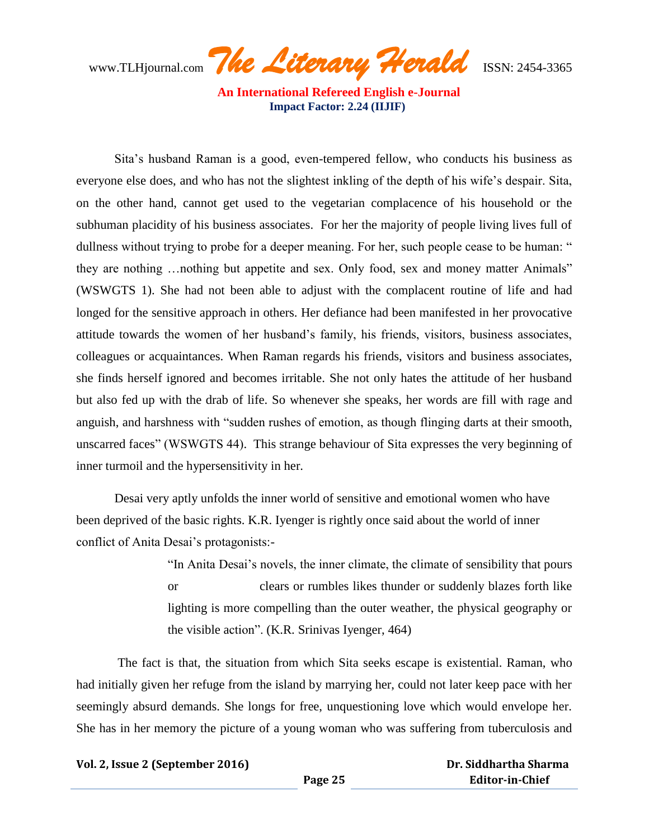www.TLHjournal.com *The Literary Herald*ISSN: 2454-3365

Sita's husband Raman is a good, even-tempered fellow, who conducts his business as everyone else does, and who has not the slightest inkling of the depth of his wife's despair. Sita, on the other hand, cannot get used to the vegetarian complacence of his household or the subhuman placidity of his business associates. For her the majority of people living lives full of dullness without trying to probe for a deeper meaning. For her, such people cease to be human: " they are nothing ... nothing but appetite and sex. Only food, sex and money matter Animals" (WSWGTS 1). She had not been able to adjust with the complacent routine of life and had longed for the sensitive approach in others. Her defiance had been manifested in her provocative attitude towards the women of her husband's family, his friends, visitors, business associates, colleagues or acquaintances. When Raman regards his friends, visitors and business associates, she finds herself ignored and becomes irritable. She not only hates the attitude of her husband but also fed up with the drab of life. So whenever she speaks, her words are fill with rage and anguish, and harshness with "sudden rushes of emotion, as though flinging darts at their smooth, unscarred faces‖ (WSWGTS 44). This strange behaviour of Sita expresses the very beginning of inner turmoil and the hypersensitivity in her.

Desai very aptly unfolds the inner world of sensitive and emotional women who have been deprived of the basic rights. K.R. Iyenger is rightly once said about the world of inner conflict of Anita Desai's protagonists:-

> ―In Anita Desai's novels, the inner climate, the climate of sensibility that pours or clears or rumbles likes thunder or suddenly blazes forth like lighting is more compelling than the outer weather, the physical geography or the visible action".  $(K.R. Srinivas Iyenger, 464)$

The fact is that, the situation from which Sita seeks escape is existential. Raman, who had initially given her refuge from the island by marrying her, could not later keep pace with her seemingly absurd demands. She longs for free, unquestioning love which would envelope her. She has in her memory the picture of a young woman who was suffering from tuberculosis and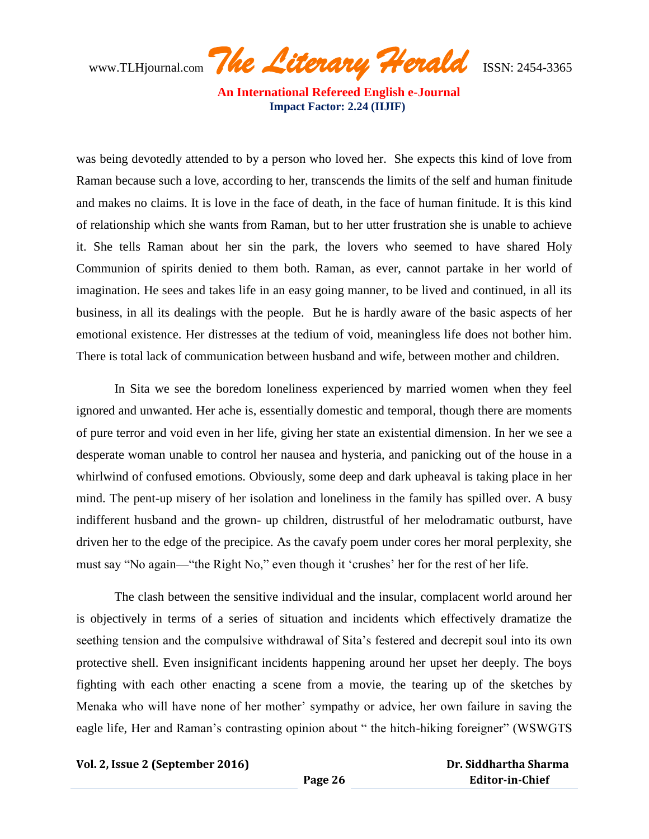www.TLHjournal.com *The Literary Herald*ISSN: 2454-3365

was being devotedly attended to by a person who loved her. She expects this kind of love from Raman because such a love, according to her, transcends the limits of the self and human finitude and makes no claims. It is love in the face of death, in the face of human finitude. It is this kind of relationship which she wants from Raman, but to her utter frustration she is unable to achieve it. She tells Raman about her sin the park, the lovers who seemed to have shared Holy Communion of spirits denied to them both. Raman, as ever, cannot partake in her world of imagination. He sees and takes life in an easy going manner, to be lived and continued, in all its business, in all its dealings with the people. But he is hardly aware of the basic aspects of her emotional existence. Her distresses at the tedium of void, meaningless life does not bother him. There is total lack of communication between husband and wife, between mother and children.

In Sita we see the boredom loneliness experienced by married women when they feel ignored and unwanted. Her ache is, essentially domestic and temporal, though there are moments of pure terror and void even in her life, giving her state an existential dimension. In her we see a desperate woman unable to control her nausea and hysteria, and panicking out of the house in a whirlwind of confused emotions. Obviously, some deep and dark upheaval is taking place in her mind. The pent-up misery of her isolation and loneliness in the family has spilled over. A busy indifferent husband and the grown- up children, distrustful of her melodramatic outburst, have driven her to the edge of the precipice. As the cavafy poem under cores her moral perplexity, she must say "No again—"the Right No," even though it 'crushes' her for the rest of her life.

The clash between the sensitive individual and the insular, complacent world around her is objectively in terms of a series of situation and incidents which effectively dramatize the seething tension and the compulsive withdrawal of Sita's festered and decrepit soul into its own protective shell. Even insignificant incidents happening around her upset her deeply. The boys fighting with each other enacting a scene from a movie, the tearing up of the sketches by Menaka who will have none of her mother' sympathy or advice, her own failure in saving the eagle life, Her and Raman's contrasting opinion about " the hitch-hiking foreigner" (WSWGTS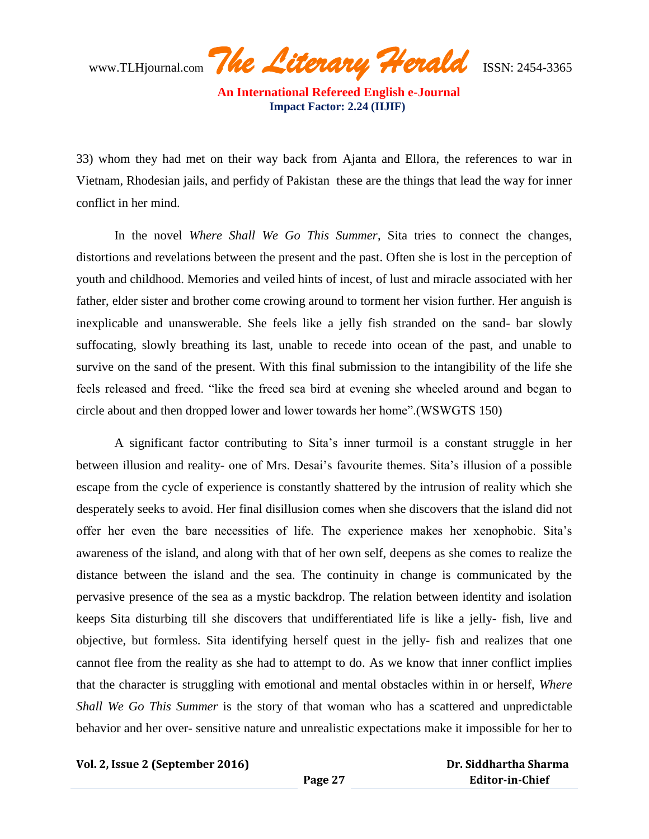www.TLHjournal.com *The Literary Herald*ISSN: 2454-3365

33) whom they had met on their way back from Ajanta and Ellora, the references to war in Vietnam, Rhodesian jails, and perfidy of Pakistan these are the things that lead the way for inner conflict in her mind.

In the novel *Where Shall We Go This Summer*, Sita tries to connect the changes, distortions and revelations between the present and the past. Often she is lost in the perception of youth and childhood. Memories and veiled hints of incest, of lust and miracle associated with her father, elder sister and brother come crowing around to torment her vision further. Her anguish is inexplicable and unanswerable. She feels like a jelly fish stranded on the sand- bar slowly suffocating, slowly breathing its last, unable to recede into ocean of the past, and unable to survive on the sand of the present. With this final submission to the intangibility of the life she feels released and freed. "like the freed sea bird at evening she wheeled around and began to circle about and then dropped lower and lower towards her home".(WSWGTS 150)

A significant factor contributing to Sita's inner turmoil is a constant struggle in her between illusion and reality- one of Mrs. Desai's favourite themes. Sita's illusion of a possible escape from the cycle of experience is constantly shattered by the intrusion of reality which she desperately seeks to avoid. Her final disillusion comes when she discovers that the island did not offer her even the bare necessities of life. The experience makes her xenophobic. Sita's awareness of the island, and along with that of her own self, deepens as she comes to realize the distance between the island and the sea. The continuity in change is communicated by the pervasive presence of the sea as a mystic backdrop. The relation between identity and isolation keeps Sita disturbing till she discovers that undifferentiated life is like a jelly- fish, live and objective, but formless. Sita identifying herself quest in the jelly- fish and realizes that one cannot flee from the reality as she had to attempt to do. As we know that inner conflict implies that the character is struggling with emotional and mental obstacles within in or herself, *Where Shall We Go This Summer* is the story of that woman who has a scattered and unpredictable behavior and her over- sensitive nature and unrealistic expectations make it impossible for her to